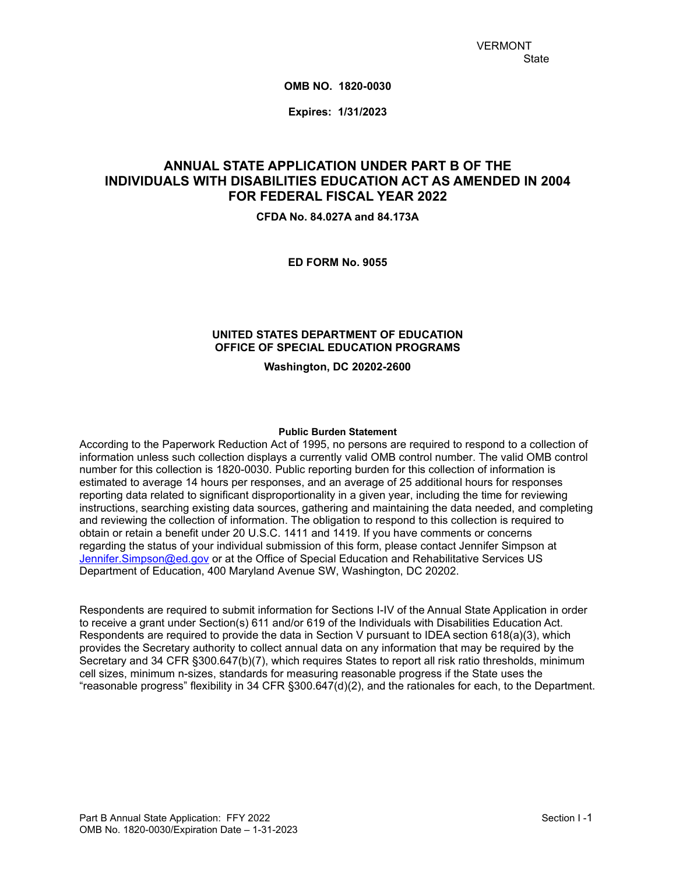**OMB NO. 1820-0030**

**Expires: 1/31/2023**

# **ANNUAL STATE APPLICATION UNDER PART B OF THE INDIVIDUALS WITH DISABILITIES EDUCATION ACT AS AMENDED IN 2004 FOR FEDERAL FISCAL YEAR 2022**

**CFDA No. 84.027A and 84.173A**

**ED FORM No. 9055**

#### **UNITED STATES DEPARTMENT OF EDUCATION OFFICE OF SPECIAL EDUCATION PROGRAMS**

**Washington, DC 20202-2600**

#### **Public Burden Statement**

According to the Paperwork Reduction Act of 1995, no persons are required to respond to a collection of information unless such collection displays a currently valid OMB control number. The valid OMB control number for this collection is 1820-0030. Public reporting burden for this collection of information is estimated to average 14 hours per responses, and an average of 25 additional hours for responses reporting data related to significant disproportionality in a given year, including the time for reviewing instructions, searching existing data sources, gathering and maintaining the data needed, and completing and reviewing the collection of information. The obligation to respond to this collection is required to obtain or retain a benefit under 20 U.S.C. 1411 and 1419. If you have comments or concerns regarding the status of your individual submission of this form, please contact Jennifer Simpson at [Jennifer.Simpson@ed.gov](mailto:Jennifer.Simpson@ed.gov) or at the Office of Special Education and Rehabilitative Services US Department of Education, 400 Maryland Avenue SW, Washington, DC 20202.

Respondents are required to submit information for Sections I-IV of the Annual State Application in order to receive a grant under Section(s) 611 and/or 619 of the Individuals with Disabilities Education Act. Respondents are required to provide the data in Section V pursuant to IDEA section 618(a)(3), which provides the Secretary authority to collect annual data on any information that may be required by the Secretary and 34 CFR §300.647(b)(7), which requires States to report all risk ratio thresholds, minimum cell sizes, minimum n-sizes, standards for measuring reasonable progress if the State uses the "reasonable progress" flexibility in 34 CFR §300.647(d)(2), and the rationales for each, to the Department.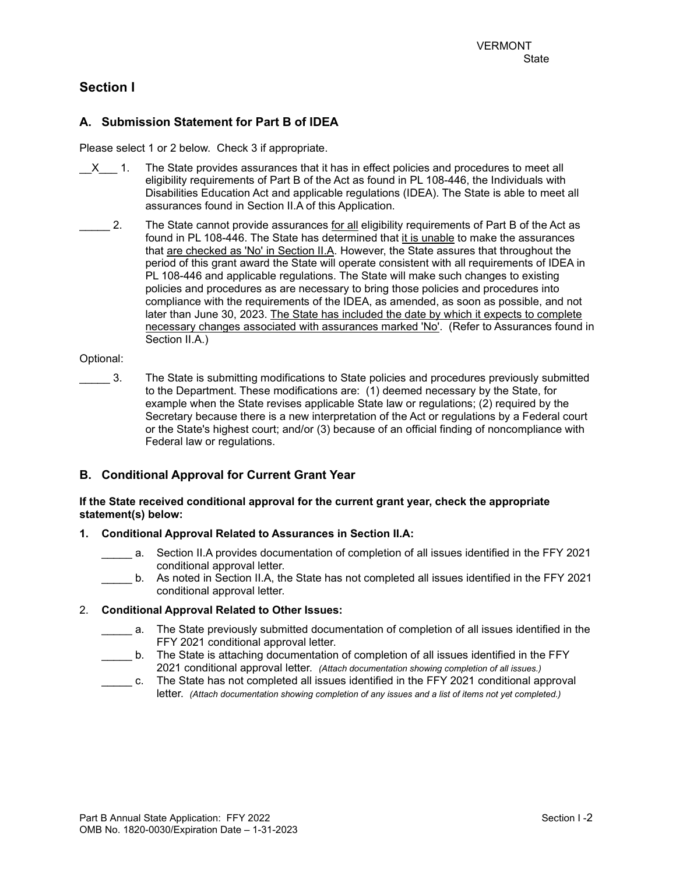# **Section I**

## **A. Submission Statement for Part B of IDEA**

Please select 1 or 2 below. Check 3 if appropriate.

- $X = 1$ . The State provides assurances that it has in effect policies and procedures to meet all eligibility requirements of Part B of the Act as found in PL 108-446, the Individuals with Disabilities Education Act and applicable regulations (IDEA). The State is able to meet all assurances found in Section II.A of this Application.
- 2. The State cannot provide assurances for all eligibility requirements of Part B of the Act as found in PL 108-446. The State has determined that it is unable to make the assurances that are checked as 'No' in Section II.A. However, the State assures that throughout the period of this grant award the State will operate consistent with all requirements of IDEA in PL 108-446 and applicable regulations. The State will make such changes to existing policies and procedures as are necessary to bring those policies and procedures into compliance with the requirements of the IDEA, as amended, as soon as possible, and not later than June 30, 2023. The State has included the date by which it expects to complete necessary changes associated with assurances marked 'No'. (Refer to Assurances found in Section II.A.)

#### Optional:

\_\_\_\_\_ 3. The State is submitting modifications to State policies and procedures previously submitted to the Department. These modifications are: (1) deemed necessary by the State, for example when the State revises applicable State law or regulations; (2) required by the Secretary because there is a new interpretation of the Act or regulations by a Federal court or the State's highest court; and/or (3) because of an official finding of noncompliance with Federal law or regulations.

### **B. Conditional Approval for Current Grant Year**

#### **If the State received conditional approval for the current grant year, check the appropriate statement(s) below:**

#### **1. Conditional Approval Related to Assurances in Section II.A:**

- a. Section II.A provides documentation of completion of all issues identified in the FFY 2021 conditional approval letter.
- b. As noted in Section II.A, the State has not completed all issues identified in the FFY 2021 conditional approval letter.

### 2. **Conditional Approval Related to Other Issues:**

- \_\_\_\_\_ a. The State previously submitted documentation of completion of all issues identified in the FFY 2021 conditional approval letter.
- \_\_\_\_\_ b. The State is attaching documentation of completion of all issues identified in the FFY 2021 conditional approval letter. *(Attach documentation showing completion of all issues.)*
- \_\_\_\_\_ c. The State has not completed all issues identified in the FFY 2021 conditional approval letter. *(Attach documentation showing completion of any issues and a list of items not yet completed.)*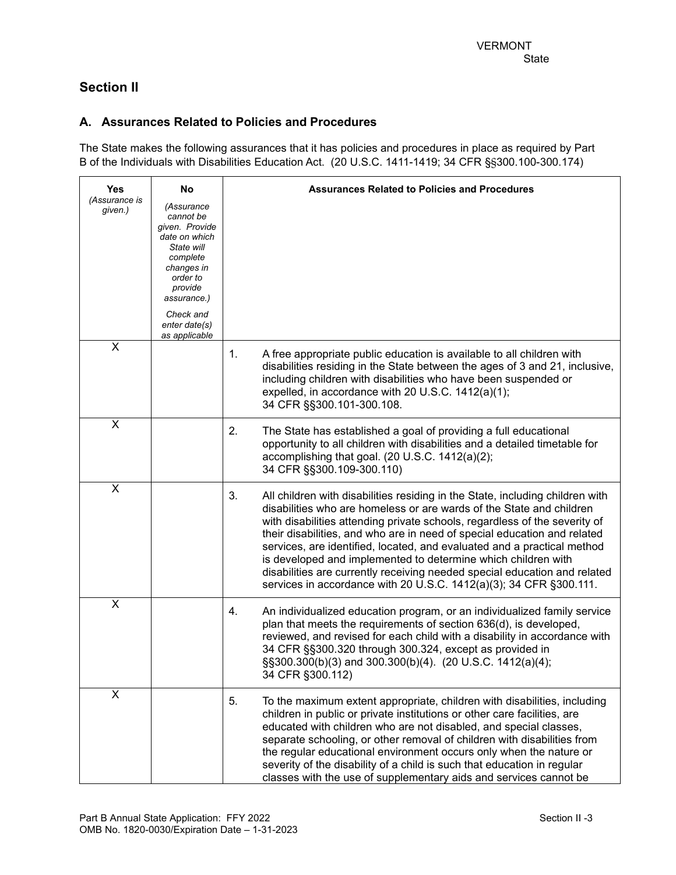# **Section II**

## **A. Assurances Related to Policies and Procedures**

The State makes the following assurances that it has policies and procedures in place as required by Part B of the Individuals with Disabilities Education Act. (20 U.S.C. 1411-1419; 34 CFR §§300.100-300.174)

| <b>Yes</b>               | No                                                                                                                                                                                      | <b>Assurances Related to Policies and Procedures</b>                                                                                                                                                                                                                                                                                                                                                                                                                                                                                                                                                                 |
|--------------------------|-----------------------------------------------------------------------------------------------------------------------------------------------------------------------------------------|----------------------------------------------------------------------------------------------------------------------------------------------------------------------------------------------------------------------------------------------------------------------------------------------------------------------------------------------------------------------------------------------------------------------------------------------------------------------------------------------------------------------------------------------------------------------------------------------------------------------|
| (Assurance is<br>given.) | (Assurance<br>cannot be<br>given. Provide<br>date on which<br>State will<br>complete<br>changes in<br>order to<br>provide<br>assurance.)<br>Check and<br>enter date(s)<br>as applicable |                                                                                                                                                                                                                                                                                                                                                                                                                                                                                                                                                                                                                      |
| X                        |                                                                                                                                                                                         | 1.<br>A free appropriate public education is available to all children with<br>disabilities residing in the State between the ages of 3 and 21, inclusive,<br>including children with disabilities who have been suspended or<br>expelled, in accordance with 20 U.S.C. 1412(a)(1);<br>34 CFR §§300.101-300.108.                                                                                                                                                                                                                                                                                                     |
| X                        |                                                                                                                                                                                         | 2.<br>The State has established a goal of providing a full educational<br>opportunity to all children with disabilities and a detailed timetable for<br>accomplishing that goal. (20 U.S.C. 1412(a)(2);<br>34 CFR §§300.109-300.110)                                                                                                                                                                                                                                                                                                                                                                                 |
| X                        |                                                                                                                                                                                         | 3.<br>All children with disabilities residing in the State, including children with<br>disabilities who are homeless or are wards of the State and children<br>with disabilities attending private schools, regardless of the severity of<br>their disabilities, and who are in need of special education and related<br>services, are identified, located, and evaluated and a practical method<br>is developed and implemented to determine which children with<br>disabilities are currently receiving needed special education and related<br>services in accordance with 20 U.S.C. 1412(a)(3); 34 CFR §300.111. |
| X                        |                                                                                                                                                                                         | 4.<br>An individualized education program, or an individualized family service<br>plan that meets the requirements of section 636(d), is developed,<br>reviewed, and revised for each child with a disability in accordance with<br>34 CFR §§300.320 through 300.324, except as provided in<br>§§300.300(b)(3) and 300.300(b)(4). (20 U.S.C. 1412(a)(4);<br>34 CFR §300.112)                                                                                                                                                                                                                                         |
| X                        |                                                                                                                                                                                         | 5.<br>To the maximum extent appropriate, children with disabilities, including<br>children in public or private institutions or other care facilities, are<br>educated with children who are not disabled, and special classes,<br>separate schooling, or other removal of children with disabilities from<br>the regular educational environment occurs only when the nature or<br>severity of the disability of a child is such that education in regular<br>classes with the use of supplementary aids and services cannot be                                                                                     |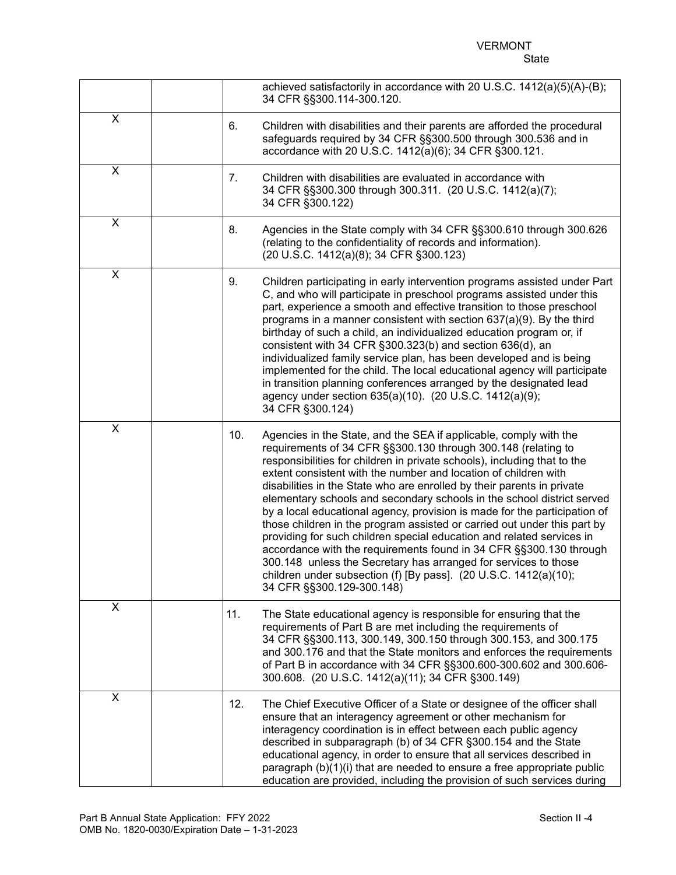|              |     | achieved satisfactorily in accordance with 20 U.S.C. 1412(a)(5)(A)-(B);<br>34 CFR §§300.114-300.120.                                                                                                                                                                                                                                                                                                                                                                                                                                                                                                                                                                                                                                                                                                                                                                                                                     |
|--------------|-----|--------------------------------------------------------------------------------------------------------------------------------------------------------------------------------------------------------------------------------------------------------------------------------------------------------------------------------------------------------------------------------------------------------------------------------------------------------------------------------------------------------------------------------------------------------------------------------------------------------------------------------------------------------------------------------------------------------------------------------------------------------------------------------------------------------------------------------------------------------------------------------------------------------------------------|
| $\mathsf{X}$ | 6.  | Children with disabilities and their parents are afforded the procedural<br>safeguards required by 34 CFR §§300.500 through 300.536 and in<br>accordance with 20 U.S.C. 1412(a)(6); 34 CFR §300.121.                                                                                                                                                                                                                                                                                                                                                                                                                                                                                                                                                                                                                                                                                                                     |
| X            | 7.  | Children with disabilities are evaluated in accordance with<br>34 CFR §§300.300 through 300.311. (20 U.S.C. 1412(a)(7);<br>34 CFR §300.122)                                                                                                                                                                                                                                                                                                                                                                                                                                                                                                                                                                                                                                                                                                                                                                              |
| X            | 8.  | Agencies in the State comply with 34 CFR §§300.610 through 300.626<br>(relating to the confidentiality of records and information).<br>(20 U.S.C. 1412(a)(8); 34 CFR §300.123)                                                                                                                                                                                                                                                                                                                                                                                                                                                                                                                                                                                                                                                                                                                                           |
| X            | 9.  | Children participating in early intervention programs assisted under Part<br>C, and who will participate in preschool programs assisted under this<br>part, experience a smooth and effective transition to those preschool<br>programs in a manner consistent with section $637(a)(9)$ . By the third<br>birthday of such a child, an individualized education program or, if<br>consistent with 34 CFR §300.323(b) and section 636(d), an<br>individualized family service plan, has been developed and is being<br>implemented for the child. The local educational agency will participate<br>in transition planning conferences arranged by the designated lead<br>agency under section 635(a)(10). (20 U.S.C. 1412(a)(9);<br>34 CFR §300.124)                                                                                                                                                                      |
| X            |     | 10.<br>Agencies in the State, and the SEA if applicable, comply with the<br>requirements of 34 CFR §§300.130 through 300.148 (relating to<br>responsibilities for children in private schools), including that to the<br>extent consistent with the number and location of children with<br>disabilities in the State who are enrolled by their parents in private<br>elementary schools and secondary schools in the school district served<br>by a local educational agency, provision is made for the participation of<br>those children in the program assisted or carried out under this part by<br>providing for such children special education and related services in<br>accordance with the requirements found in 34 CFR §§300.130 through<br>300.148 unless the Secretary has arranged for services to those<br>children under subsection (f) [By pass]. (20 U.S.C. 1412(a)(10);<br>34 CFR §§300.129-300.148) |
| X            | 11. | The State educational agency is responsible for ensuring that the<br>requirements of Part B are met including the requirements of<br>34 CFR §§300.113, 300.149, 300.150 through 300.153, and 300.175<br>and 300.176 and that the State monitors and enforces the requirements<br>of Part B in accordance with 34 CFR §§300.600-300.602 and 300.606-<br>300.608. (20 U.S.C. 1412(a)(11); 34 CFR §300.149)                                                                                                                                                                                                                                                                                                                                                                                                                                                                                                                 |
| X            |     | 12.<br>The Chief Executive Officer of a State or designee of the officer shall<br>ensure that an interagency agreement or other mechanism for<br>interagency coordination is in effect between each public agency<br>described in subparagraph (b) of 34 CFR §300.154 and the State<br>educational agency, in order to ensure that all services described in<br>paragraph (b)(1)(i) that are needed to ensure a free appropriate public<br>education are provided, including the provision of such services during                                                                                                                                                                                                                                                                                                                                                                                                       |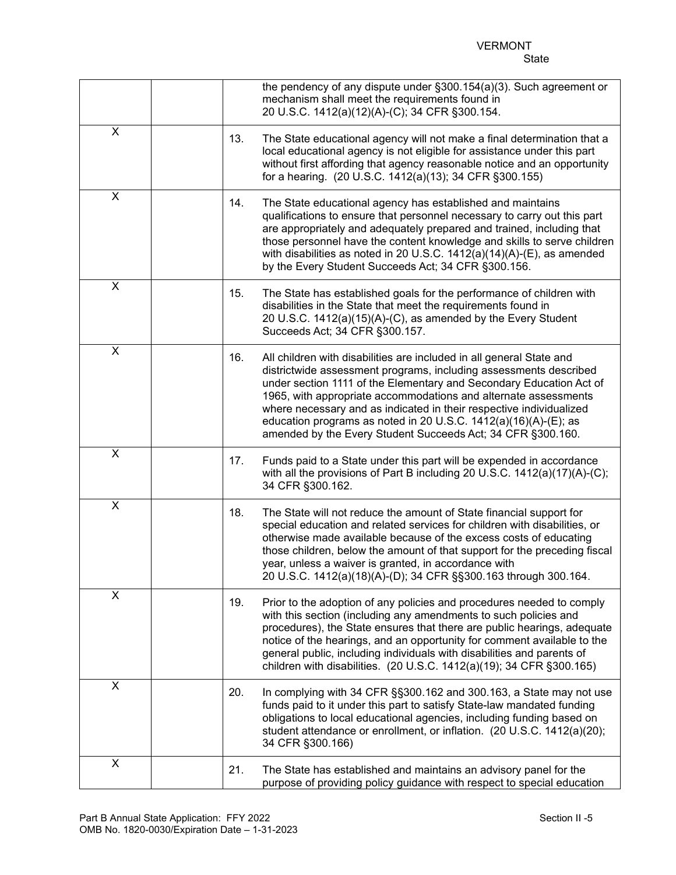|                         |     | the pendency of any dispute under §300.154(a)(3). Such agreement or<br>mechanism shall meet the requirements found in<br>20 U.S.C. 1412(a)(12)(A)-(C); 34 CFR §300.154.                                                                                                                                                                                                                                                                                                                      |
|-------------------------|-----|----------------------------------------------------------------------------------------------------------------------------------------------------------------------------------------------------------------------------------------------------------------------------------------------------------------------------------------------------------------------------------------------------------------------------------------------------------------------------------------------|
| $\mathsf{X}$            | 13. | The State educational agency will not make a final determination that a<br>local educational agency is not eligible for assistance under this part<br>without first affording that agency reasonable notice and an opportunity<br>for a hearing. (20 U.S.C. 1412(a)(13); 34 CFR §300.155)                                                                                                                                                                                                    |
| X                       | 14. | The State educational agency has established and maintains<br>qualifications to ensure that personnel necessary to carry out this part<br>are appropriately and adequately prepared and trained, including that<br>those personnel have the content knowledge and skills to serve children<br>with disabilities as noted in 20 U.S.C. $1412(a)(14)(A)$ -(E), as amended<br>by the Every Student Succeeds Act; 34 CFR §300.156.                                                               |
| X                       | 15. | The State has established goals for the performance of children with<br>disabilities in the State that meet the requirements found in<br>20 U.S.C. 1412(a)(15)(A)-(C), as amended by the Every Student<br>Succeeds Act; 34 CFR §300.157.                                                                                                                                                                                                                                                     |
| $\pmb{\times}$          | 16. | All children with disabilities are included in all general State and<br>districtwide assessment programs, including assessments described<br>under section 1111 of the Elementary and Secondary Education Act of<br>1965, with appropriate accommodations and alternate assessments<br>where necessary and as indicated in their respective individualized<br>education programs as noted in 20 U.S.C. 1412(a)(16)(A)-(E); as<br>amended by the Every Student Succeeds Act; 34 CFR §300.160. |
| X                       | 17. | Funds paid to a State under this part will be expended in accordance<br>with all the provisions of Part B including 20 U.S.C. 1412(a)(17)(A)-(C);<br>34 CFR §300.162.                                                                                                                                                                                                                                                                                                                        |
| $\pmb{\times}$          | 18. | The State will not reduce the amount of State financial support for<br>special education and related services for children with disabilities, or<br>otherwise made available because of the excess costs of educating<br>those children, below the amount of that support for the preceding fiscal<br>year, unless a waiver is granted, in accordance with<br>20 U.S.C. 1412(a)(18)(A)-(D); 34 CFR §§300.163 through 300.164.                                                                |
| $\overline{\mathsf{x}}$ | 19. | Prior to the adoption of any policies and procedures needed to comply<br>with this section (including any amendments to such policies and<br>procedures), the State ensures that there are public hearings, adequate<br>notice of the hearings, and an opportunity for comment available to the<br>general public, including individuals with disabilities and parents of<br>children with disabilities. (20 U.S.C. 1412(a)(19); 34 CFR §300.165)                                            |
| X                       | 20. | In complying with 34 CFR §§300.162 and 300.163, a State may not use<br>funds paid to it under this part to satisfy State-law mandated funding<br>obligations to local educational agencies, including funding based on<br>student attendance or enrollment, or inflation. (20 U.S.C. 1412(a)(20);<br>34 CFR §300.166)                                                                                                                                                                        |
| X                       | 21. | The State has established and maintains an advisory panel for the<br>purpose of providing policy guidance with respect to special education                                                                                                                                                                                                                                                                                                                                                  |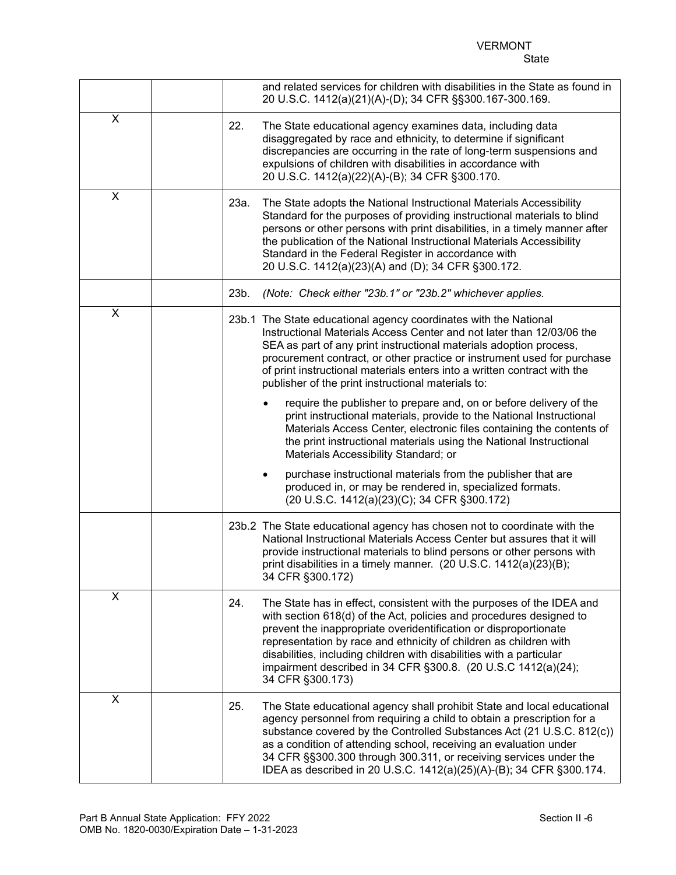#### VERMONT State

|   | and related services for children with disabilities in the State as found in<br>20 U.S.C. 1412(a)(21)(A)-(D); 34 CFR §§300.167-300.169.                                                                                                                                                                                                                                                                                                                   |
|---|-----------------------------------------------------------------------------------------------------------------------------------------------------------------------------------------------------------------------------------------------------------------------------------------------------------------------------------------------------------------------------------------------------------------------------------------------------------|
| X | 22.<br>The State educational agency examines data, including data<br>disaggregated by race and ethnicity, to determine if significant<br>discrepancies are occurring in the rate of long-term suspensions and<br>expulsions of children with disabilities in accordance with<br>20 U.S.C. 1412(a)(22)(A)-(B); 34 CFR §300.170.                                                                                                                            |
| X | 23a.<br>The State adopts the National Instructional Materials Accessibility<br>Standard for the purposes of providing instructional materials to blind<br>persons or other persons with print disabilities, in a timely manner after<br>the publication of the National Instructional Materials Accessibility<br>Standard in the Federal Register in accordance with<br>20 U.S.C. 1412(a)(23)(A) and (D); 34 CFR §300.172.                                |
|   | (Note: Check either "23b.1" or "23b.2" whichever applies.<br>23b.                                                                                                                                                                                                                                                                                                                                                                                         |
| X | 23b.1 The State educational agency coordinates with the National<br>Instructional Materials Access Center and not later than 12/03/06 the<br>SEA as part of any print instructional materials adoption process,<br>procurement contract, or other practice or instrument used for purchase<br>of print instructional materials enters into a written contract with the<br>publisher of the print instructional materials to:                              |
|   | require the publisher to prepare and, on or before delivery of the<br>print instructional materials, provide to the National Instructional<br>Materials Access Center, electronic files containing the contents of<br>the print instructional materials using the National Instructional<br>Materials Accessibility Standard; or                                                                                                                          |
|   | purchase instructional materials from the publisher that are<br>produced in, or may be rendered in, specialized formats.<br>(20 U.S.C. 1412(a)(23)(C); 34 CFR §300.172)                                                                                                                                                                                                                                                                                   |
|   | 23b.2 The State educational agency has chosen not to coordinate with the<br>National Instructional Materials Access Center but assures that it will<br>provide instructional materials to blind persons or other persons with<br>print disabilities in a timely manner. (20 U.S.C. 1412(a)(23)(B);<br>34 CFR §300.172)                                                                                                                                    |
| X | 24.<br>The State has in effect, consistent with the purposes of the IDEA and<br>with section 618(d) of the Act, policies and procedures designed to<br>prevent the inappropriate overidentification or disproportionate<br>representation by race and ethnicity of children as children with<br>disabilities, including children with disabilities with a particular<br>impairment described in 34 CFR §300.8. (20 U.S.C 1412(a)(24);<br>34 CFR §300.173) |
| X | 25.<br>The State educational agency shall prohibit State and local educational<br>agency personnel from requiring a child to obtain a prescription for a<br>substance covered by the Controlled Substances Act (21 U.S.C. 812(c))<br>as a condition of attending school, receiving an evaluation under<br>34 CFR §§300.300 through 300.311, or receiving services under the<br>IDEA as described in 20 U.S.C. 1412(a)(25)(A)-(B); 34 CFR §300.174.        |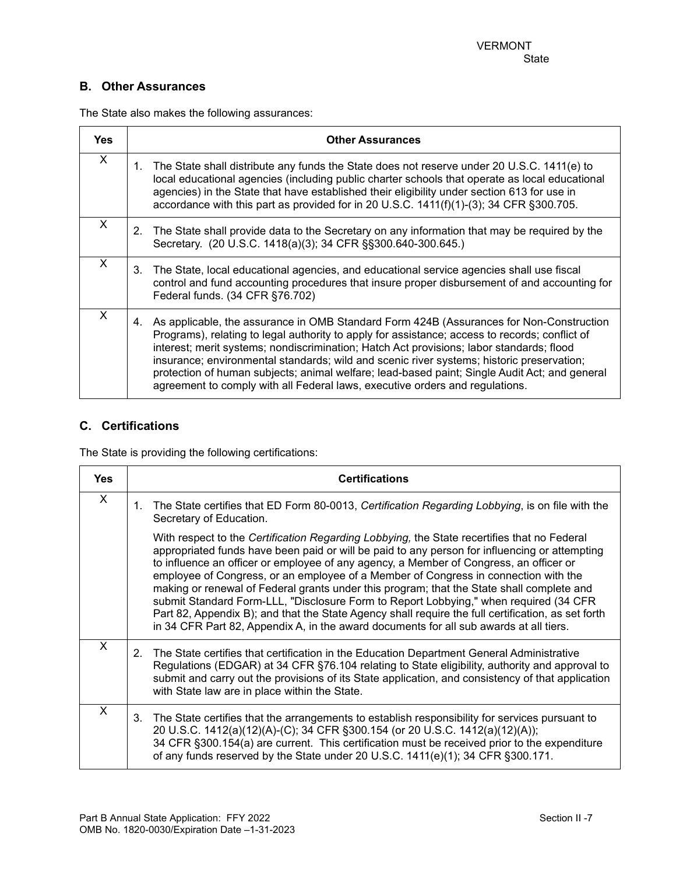## **B. Other Assurances**

The State also makes the following assurances:

| <b>Yes</b> | <b>Other Assurances</b>                                                                                                                                                                                                                                                                                                                                                                                                                                                                                                                                                   |
|------------|---------------------------------------------------------------------------------------------------------------------------------------------------------------------------------------------------------------------------------------------------------------------------------------------------------------------------------------------------------------------------------------------------------------------------------------------------------------------------------------------------------------------------------------------------------------------------|
| $\sf X$    | The State shall distribute any funds the State does not reserve under 20 U.S.C. 1411(e) to<br>1.<br>local educational agencies (including public charter schools that operate as local educational<br>agencies) in the State that have established their eligibility under section 613 for use in<br>accordance with this part as provided for in 20 U.S.C. 1411(f)(1)-(3); 34 CFR § 300.705.                                                                                                                                                                             |
| $\times$   | The State shall provide data to the Secretary on any information that may be required by the<br>2.<br>Secretary. (20 U.S.C. 1418(a)(3); 34 CFR §§300.640-300.645.)                                                                                                                                                                                                                                                                                                                                                                                                        |
| X          | The State, local educational agencies, and educational service agencies shall use fiscal<br>3.<br>control and fund accounting procedures that insure proper disbursement of and accounting for<br>Federal funds. (34 CFR §76.702)                                                                                                                                                                                                                                                                                                                                         |
| X          | As applicable, the assurance in OMB Standard Form 424B (Assurances for Non-Construction<br>4.<br>Programs), relating to legal authority to apply for assistance; access to records; conflict of<br>interest; merit systems; nondiscrimination; Hatch Act provisions; labor standards; flood<br>insurance; environmental standards; wild and scenic river systems; historic preservation;<br>protection of human subjects; animal welfare; lead-based paint; Single Audit Act; and general<br>agreement to comply with all Federal laws, executive orders and regulations. |

### **C. Certifications**

The State is providing the following certifications:

| <b>Yes</b>                | <b>Certifications</b>                                                                                                                                                                                                                                                                                                                                                                                                                                                                                                                                                                                                                                                                                                                                               |  |  |
|---------------------------|---------------------------------------------------------------------------------------------------------------------------------------------------------------------------------------------------------------------------------------------------------------------------------------------------------------------------------------------------------------------------------------------------------------------------------------------------------------------------------------------------------------------------------------------------------------------------------------------------------------------------------------------------------------------------------------------------------------------------------------------------------------------|--|--|
| $\boldsymbol{\mathsf{X}}$ | The State certifies that ED Form 80-0013, Certification Regarding Lobbying, is on file with the<br>1.<br>Secretary of Education.                                                                                                                                                                                                                                                                                                                                                                                                                                                                                                                                                                                                                                    |  |  |
|                           | With respect to the Certification Regarding Lobbying, the State recertifies that no Federal<br>appropriated funds have been paid or will be paid to any person for influencing or attempting<br>to influence an officer or employee of any agency, a Member of Congress, an officer or<br>employee of Congress, or an employee of a Member of Congress in connection with the<br>making or renewal of Federal grants under this program; that the State shall complete and<br>submit Standard Form-LLL, "Disclosure Form to Report Lobbying," when required (34 CFR<br>Part 82, Appendix B); and that the State Agency shall require the full certification, as set forth<br>in 34 CFR Part 82, Appendix A, in the award documents for all sub awards at all tiers. |  |  |
| $\mathsf{x}$              | The State certifies that certification in the Education Department General Administrative<br>2.<br>Regulations (EDGAR) at 34 CFR §76.104 relating to State eligibility, authority and approval to<br>submit and carry out the provisions of its State application, and consistency of that application<br>with State law are in place within the State.                                                                                                                                                                                                                                                                                                                                                                                                             |  |  |
| $\mathsf{x}$              | The State certifies that the arrangements to establish responsibility for services pursuant to<br>3.<br>20 U.S.C. 1412(a)(12)(A)-(C); 34 CFR §300.154 (or 20 U.S.C. 1412(a)(12)(A));<br>34 CFR §300.154(a) are current. This certification must be received prior to the expenditure<br>of any funds reserved by the State under 20 U.S.C. 1411(e)(1); 34 CFR §300.171.                                                                                                                                                                                                                                                                                                                                                                                             |  |  |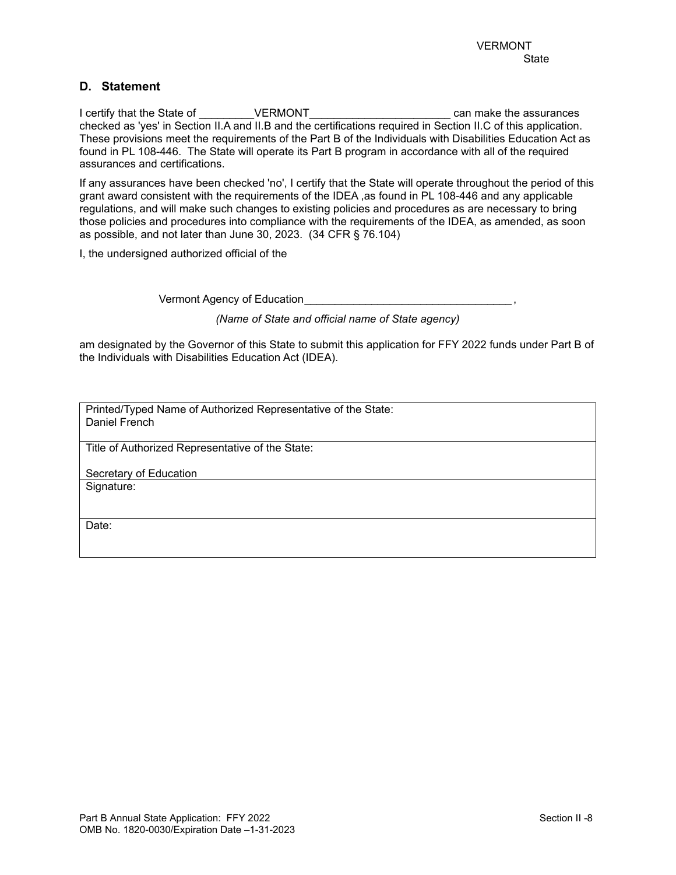### **D. Statement**

I certify that the State of THE STATE VERMONT THE SECONDUCT CAN CAN MEET ASSURANCES checked as 'yes' in Section II.A and II.B and the certifications required in Section II.C of this application. These provisions meet the requirements of the Part B of the Individuals with Disabilities Education Act as found in PL 108-446. The State will operate its Part B program in accordance with all of the required assurances and certifications.

If any assurances have been checked 'no', I certify that the State will operate throughout the period of this grant award consistent with the requirements of the IDEA ,as found in PL 108-446 and any applicable regulations, and will make such changes to existing policies and procedures as are necessary to bring those policies and procedures into compliance with the requirements of the IDEA, as amended, as soon as possible, and not later than June 30, 2023. (34 CFR § 76.104)

I, the undersigned authorized official of the

Vermont Agency of Education\_\_\_\_\_\_\_\_\_\_\_\_\_\_\_\_\_\_\_\_\_\_\_\_\_\_\_\_\_\_\_\_\_\_ ,

*(Name of State and official name of State agency)*

am designated by the Governor of this State to submit this application for FFY 2022 funds under Part B of the Individuals with Disabilities Education Act (IDEA).

Printed/Typed Name of Authorized Representative of the State: Daniel French

Title of Authorized Representative of the State:

Secretary of Education

Signature:

Date: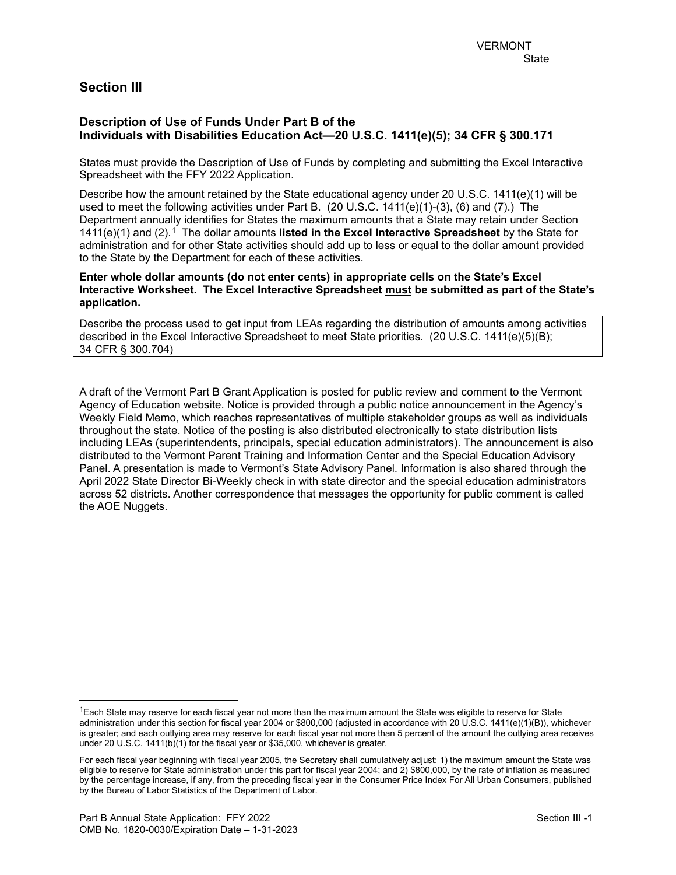## **Section III**

### **Description of Use of Funds Under Part B of the Individuals with Disabilities Education Act—20 U.S.C. 1411(e)(5); 34 CFR § 300.171**

States must provide the Description of Use of Funds by completing and submitting the Excel Interactive Spreadsheet with the FFY 2022 Application.

Describe how the amount retained by the State educational agency under 20 U.S.C. 1411(e)(1) will be used to meet the following activities under Part B. (20 U.S.C. 1411(e)(1)-(3), (6) and (7).) The Department annually identifies for States the maximum amounts that a State may retain under Section 1411(e)(1) and (2).[1](#page-8-0) The dollar amounts **listed in the Excel Interactive Spreadsheet** by the State for administration and for other State activities should add up to less or equal to the dollar amount provided to the State by the Department for each of these activities.

**Enter whole dollar amounts (do not enter cents) in appropriate cells on the State's Excel Interactive Worksheet. The Excel Interactive Spreadsheet must be submitted as part of the State's application.**

Describe the process used to get input from LEAs regarding the distribution of amounts among activities described in the Excel Interactive Spreadsheet to meet State priorities. (20 U.S.C. 1411(e)(5)(B); 34 CFR § 300.704)

A draft of the Vermont Part B Grant Application is posted for public review and comment to the Vermont Agency of Education website. Notice is provided through a public notice announcement in the Agency's Weekly Field Memo, which reaches representatives of multiple stakeholder groups as well as individuals throughout the state. Notice of the posting is also distributed electronically to state distribution lists including LEAs (superintendents, principals, special education administrators). The announcement is also distributed to the Vermont Parent Training and Information Center and the Special Education Advisory Panel. A presentation is made to Vermont's State Advisory Panel. Information is also shared through the April 2022 State Director Bi-Weekly check in with state director and the special education administrators across 52 districts. Another correspondence that messages the opportunity for public comment is called the AOE Nuggets.

<span id="page-8-0"></span> $1$ Each State may reserve for each fiscal year not more than the maximum amount the State was eligible to reserve for State administration under this section for fiscal year 2004 or \$800,000 (adjusted in accordance with 20 U.S.C. 1411(e)(1)(B)), whichever is greater; and each outlying area may reserve for each fiscal year not more than 5 percent of the amount the outlying area receives under 20 U.S.C. 1411(b)(1) for the fiscal year or \$35,000, whichever is greater.

For each fiscal year beginning with fiscal year 2005, the Secretary shall cumulatively adjust: 1) the maximum amount the State was eligible to reserve for State administration under this part for fiscal year 2004; and 2) \$800,000, by the rate of inflation as measured by the percentage increase, if any, from the preceding fiscal year in the Consumer Price Index For All Urban Consumers, published by the Bureau of Labor Statistics of the Department of Labor.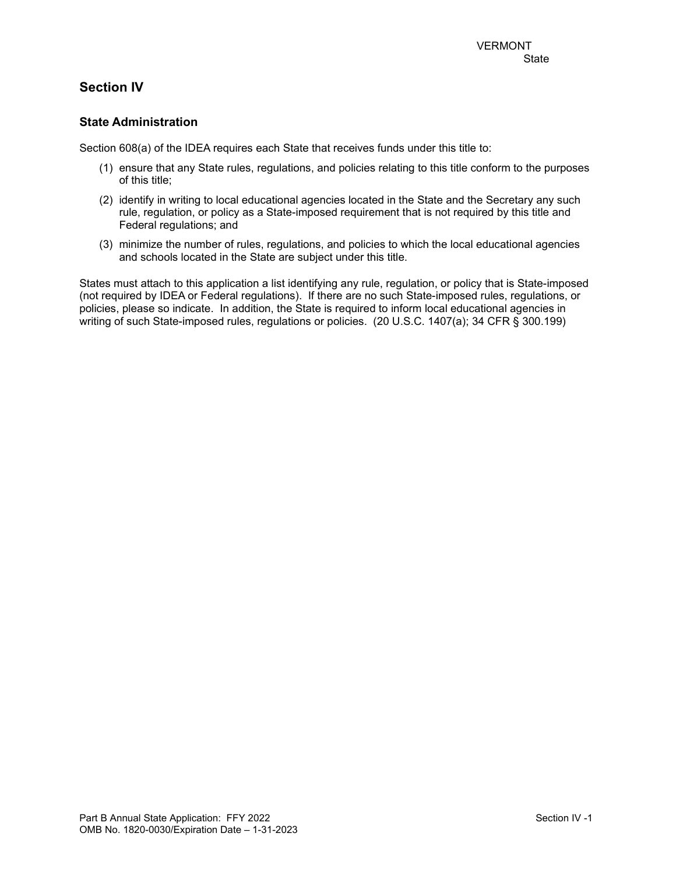# **Section IV**

### **State Administration**

Section 608(a) of the IDEA requires each State that receives funds under this title to:

- (1) ensure that any State rules, regulations, and policies relating to this title conform to the purposes of this title;
- (2) identify in writing to local educational agencies located in the State and the Secretary any such rule, regulation, or policy as a State-imposed requirement that is not required by this title and Federal regulations; and
- (3) minimize the number of rules, regulations, and policies to which the local educational agencies and schools located in the State are subject under this title.

States must attach to this application a list identifying any rule, regulation, or policy that is State-imposed (not required by IDEA or Federal regulations). If there are no such State-imposed rules, regulations, or policies, please so indicate. In addition, the State is required to inform local educational agencies in writing of such State-imposed rules, regulations or policies. (20 U.S.C. 1407(a); 34 CFR § 300.199)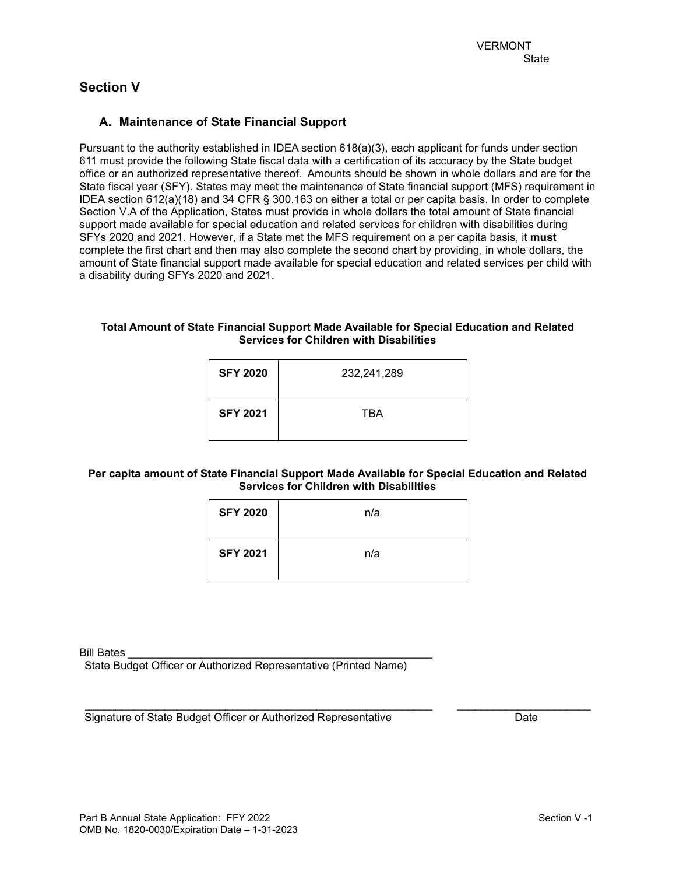# **Section V**

## **A. Maintenance of State Financial Support**

Pursuant to the authority established in IDEA section 618(a)(3), each applicant for funds under section 611 must provide the following State fiscal data with a certification of its accuracy by the State budget office or an authorized representative thereof. Amounts should be shown in whole dollars and are for the State fiscal year (SFY). States may meet the maintenance of State financial support (MFS) requirement in IDEA section 612(a)(18) and 34 CFR § 300.163 on either a total or per capita basis. In order to complete Section V.A of the Application, States must provide in whole dollars the total amount of State financial support made available for special education and related services for children with disabilities during SFYs 2020 and 2021. However, if a State met the MFS requirement on a per capita basis, it **must** complete the first chart and then may also complete the second chart by providing, in whole dollars, the amount of State financial support made available for special education and related services per child with a disability during SFYs 2020 and 2021.

#### **Total Amount of State Financial Support Made Available for Special Education and Related Services for Children with Disabilities**

| <b>SFY 2020</b> | 232,241,289 |
|-----------------|-------------|
| <b>SFY 2021</b> | TBA         |

### **Per capita amount of State Financial Support Made Available for Special Education and Related Services for Children with Disabilities**

| <b>SFY 2020</b> | n/a |
|-----------------|-----|
| <b>SFY 2021</b> | n/a |

Bill Bates

State Budget Officer or Authorized Representative (Printed Name)

\_\_\_\_\_\_\_\_\_\_\_\_\_\_\_\_\_\_\_\_\_\_\_\_\_\_\_\_\_\_\_\_\_\_\_\_\_\_\_\_\_\_\_\_\_\_\_\_\_\_\_\_\_\_\_\_\_ \_\_\_\_\_\_\_\_\_\_\_\_\_\_\_\_\_\_\_\_\_\_ Signature of State Budget Officer or Authorized Representative Date